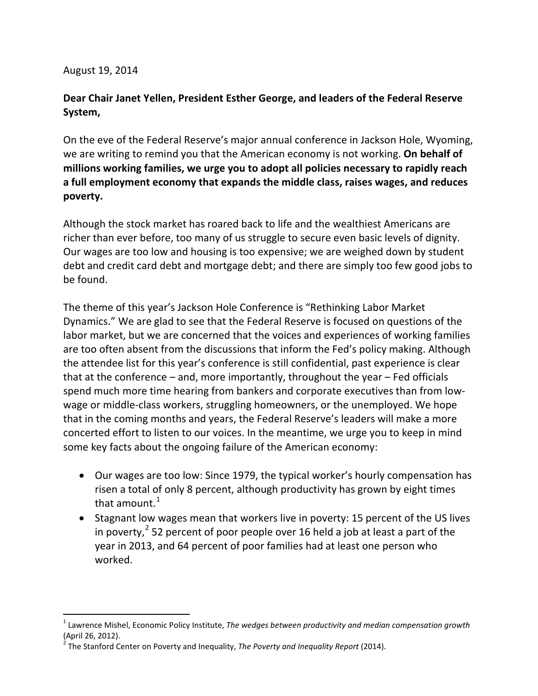## August 19, 2014

 $\overline{a}$ 

## **Dear Chair Janet Yellen, President Esther George, and leaders of the Federal Reserve System,**

On the eve of the Federal Reserve's major annual conference in Jackson Hole, Wyoming, we are writing to remind you that the American economy is not working. **On behalf of millions working families, we urge you to adopt all policies necessary to rapidly reach a full employment economy that expands the middle class, raises wages, and reduces poverty.** 

Although the stock market has roared back to life and the wealthiest Americans are richer than ever before, too many of us struggle to secure even basic levels of dignity. Our wages are too low and housing is too expensive; we are weighed down by student debt and credit card debt and mortgage debt; and there are simply too few good jobs to be found.

The theme of this year's Jackson Hole Conference is "Rethinking Labor Market Dynamics." We are glad to see that the Federal Reserve is focused on questions of the labor market, but we are concerned that the voices and experiences of working families are too often absent from the discussions that inform the Fed's policy making. Although the attendee list for this year's conference is still confidential, past experience is clear that at the conference – and, more importantly, throughout the year – Fed officials spend much more time hearing from bankers and corporate executives than from lowwage or middle-class workers, struggling homeowners, or the unemployed. We hope that in the coming months and years, the Federal Reserve's leaders will make a more concerted effort to listen to our voices. In the meantime, we urge you to keep in mind some key facts about the ongoing failure of the American economy:

- Our wages are too low: Since 1979, the typical worker's hourly compensation has risen a total of only 8 percent, although productivity has grown by eight times that amount.<sup>[1](#page-0-0)</sup>
- Stagnant low wages mean that workers live in poverty: 15 percent of the US lives in poverty,  $2$  52 percent of poor people over 16 held a job at least a part of the year in 2013, and 64 percent of poor families had at least one person who worked.

<span id="page-0-1"></span><span id="page-0-0"></span><sup>1</sup> Lawrence Mishel, Economic Policy Institute, *The wedges between productivity and median compensation growth* (April 26, 2012).

<sup>2</sup> The Stanford Center on Poverty and Inequality, *The Poverty and Inequality Report* (2014).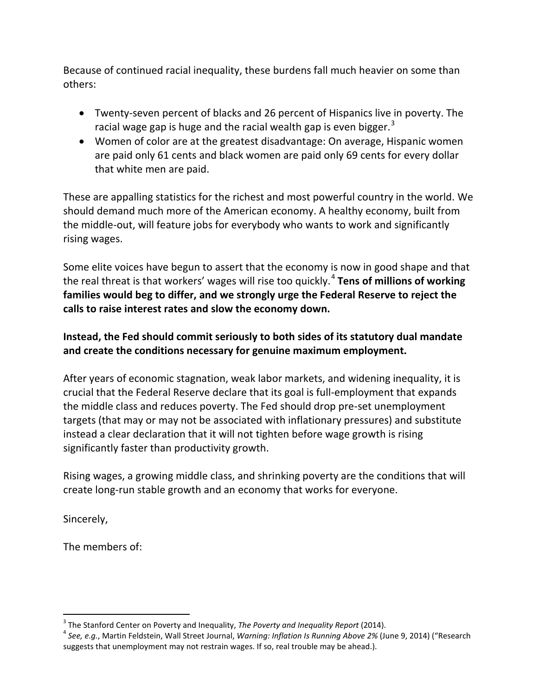Because of continued racial inequality, these burdens fall much heavier on some than others:

- Twenty-seven percent of blacks and 26 percent of Hispanics live in poverty. The racial wage gap is huge and the racial wealth gap is even bigger.<sup>[3](#page-1-0)</sup>
- Women of color are at the greatest disadvantage: On average, Hispanic women are paid only 61 cents and black women are paid only 69 cents for every dollar that white men are paid.

These are appalling statistics for the richest and most powerful country in the world. We should demand much more of the American economy. A healthy economy, built from the middle-out, will feature jobs for everybody who wants to work and significantly rising wages.

Some elite voices have begun to assert that the economy is now in good shape and that the real threat is that workers' wages will rise too quickly.[4](#page-1-1) **Tens of millions of working families would beg to differ, and we strongly urge the Federal Reserve to reject the calls to raise interest rates and slow the economy down.**

## **Instead, the Fed should commit seriously to both sides of its statutory dual mandate and create the conditions necessary for genuine maximum employment.**

After years of economic stagnation, weak labor markets, and widening inequality, it is crucial that the Federal Reserve declare that its goal is full-employment that expands the middle class and reduces poverty. The Fed should drop pre-set unemployment targets (that may or may not be associated with inflationary pressures) and substitute instead a clear declaration that it will not tighten before wage growth is rising significantly faster than productivity growth.

Rising wages, a growing middle class, and shrinking poverty are the conditions that will create long-run stable growth and an economy that works for everyone.

Sincerely,

The members of:

 $\overline{a}$ 

<span id="page-1-1"></span><span id="page-1-0"></span><sup>&</sup>lt;sup>3</sup> The Stanford Center on Poverty and Inequality, *The Poverty and Inequality Report* (2014).<br><sup>4</sup> See, e.g., Martin Feldstein, Wall Street Journal, *Warning: Inflation Is Running Above 2%* (June 9, 2014) ("Research suggests that unemployment may not restrain wages. If so, real trouble may be ahead.).